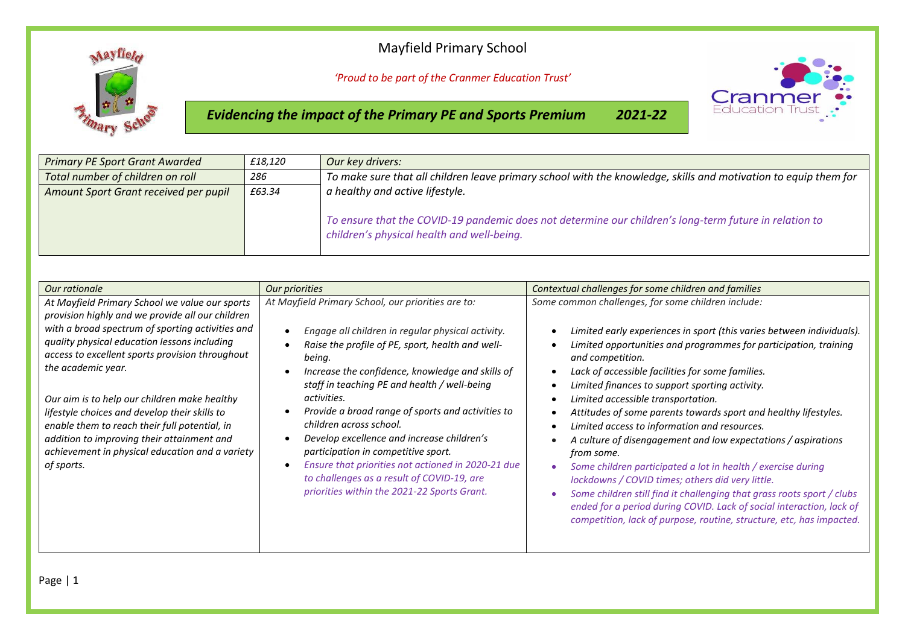## Mayfield Primary School



*'Proud to be part of the Cranmer Education Trust'*

*Evidencing the impact of the Primary PE and Sports Premium 2021-22*



| <b>Primary PE Sport Grant Awarded</b>           | £18,120 | Our key drivers:                                                                                                                                     |  |
|-------------------------------------------------|---------|------------------------------------------------------------------------------------------------------------------------------------------------------|--|
| Total number of children on roll                | 286     | To make sure that all children leave primary school with the knowledge, skills and motivation to equip them for                                      |  |
| £63.34<br>Amount Sport Grant received per pupil |         | a healthy and active lifestyle.                                                                                                                      |  |
|                                                 |         | To ensure that the COVID-19 pandemic does not determine our children's long-term future in relation to<br>children's physical health and well-being. |  |

| Our rationale                                                                                                                                                                                                                                                                                                                                                                                                                                                                                                                                    | Our priorities                                                                                                                                                                                                                                                                                                                                                                                                                                                                                                                                                                                                                             | Contextual challenges for some children and families                                                                                                                                                                                                                                                                                                                                                                                                                                                                                                                                                                                                                                                                                                                                                                                                                                                                                                   |
|--------------------------------------------------------------------------------------------------------------------------------------------------------------------------------------------------------------------------------------------------------------------------------------------------------------------------------------------------------------------------------------------------------------------------------------------------------------------------------------------------------------------------------------------------|--------------------------------------------------------------------------------------------------------------------------------------------------------------------------------------------------------------------------------------------------------------------------------------------------------------------------------------------------------------------------------------------------------------------------------------------------------------------------------------------------------------------------------------------------------------------------------------------------------------------------------------------|--------------------------------------------------------------------------------------------------------------------------------------------------------------------------------------------------------------------------------------------------------------------------------------------------------------------------------------------------------------------------------------------------------------------------------------------------------------------------------------------------------------------------------------------------------------------------------------------------------------------------------------------------------------------------------------------------------------------------------------------------------------------------------------------------------------------------------------------------------------------------------------------------------------------------------------------------------|
| At Mayfield Primary School we value our sports<br>provision highly and we provide all our children<br>with a broad spectrum of sporting activities and<br>quality physical education lessons including<br>access to excellent sports provision throughout<br>the academic year.<br>Our aim is to help our children make healthy<br>lifestyle choices and develop their skills to<br>enable them to reach their full potential, in<br>addition to improving their attainment and<br>achievement in physical education and a variety<br>of sports. | At Mayfield Primary School, our priorities are to:<br>Engage all children in regular physical activity.<br>$\bullet$<br>Raise the profile of PE, sport, health and well-<br>being.<br>Increase the confidence, knowledge and skills of<br>staff in teaching PE and health / well-being<br>activities.<br>Provide a broad range of sports and activities to<br>children across school.<br>Develop excellence and increase children's<br>participation in competitive sport.<br>Ensure that priorities not actioned in 2020-21 due<br>$\bullet$<br>to challenges as a result of COVID-19, are<br>priorities within the 2021-22 Sports Grant. | Some common challenges, for some children include:<br>Limited early experiences in sport (this varies between individuals).<br>Limited opportunities and programmes for participation, training<br>and competition.<br>Lack of accessible facilities for some families.<br>$\bullet$<br>Limited finances to support sporting activity.<br>Limited accessible transportation.<br>Attitudes of some parents towards sport and healthy lifestyles.<br>Limited access to information and resources.<br>$\bullet$<br>A culture of disengagement and low expectations / aspirations<br>from some.<br>Some children participated a lot in health / exercise during<br>lockdowns / COVID times; others did very little.<br>Some children still find it challenging that grass roots sport / clubs<br>$\bullet$<br>ended for a period during COVID. Lack of social interaction, lack of<br>competition, lack of purpose, routine, structure, etc, has impacted. |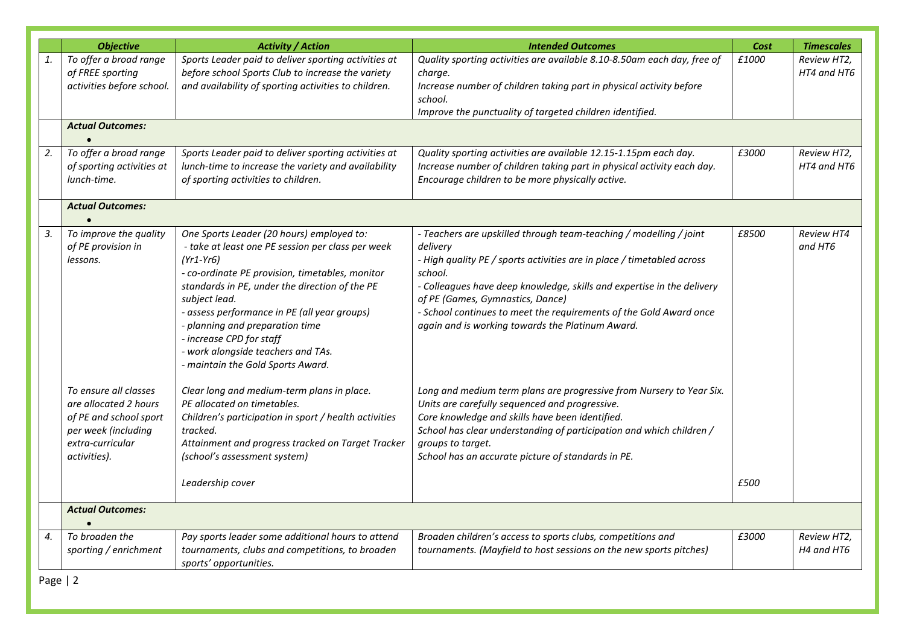|    | <b>Objective</b>                                                                                           | <b>Activity / Action</b>                                                                                                                                                                                                                                                                                                                                                                                                                                                                                 | <b>Intended Outcomes</b>                                                                                                                                                                                                                                                                                                                                                                                                                                                                                                              | Cost  | <b>Timescales</b>            |
|----|------------------------------------------------------------------------------------------------------------|----------------------------------------------------------------------------------------------------------------------------------------------------------------------------------------------------------------------------------------------------------------------------------------------------------------------------------------------------------------------------------------------------------------------------------------------------------------------------------------------------------|---------------------------------------------------------------------------------------------------------------------------------------------------------------------------------------------------------------------------------------------------------------------------------------------------------------------------------------------------------------------------------------------------------------------------------------------------------------------------------------------------------------------------------------|-------|------------------------------|
| 1. | To offer a broad range<br>of FREE sporting<br>activities before school.                                    | Sports Leader paid to deliver sporting activities at<br>before school Sports Club to increase the variety<br>and availability of sporting activities to children.                                                                                                                                                                                                                                                                                                                                        | Quality sporting activities are available 8.10-8.50am each day, free of<br>charge.<br>Increase number of children taking part in physical activity before<br>school.<br>Improve the punctuality of targeted children identified.                                                                                                                                                                                                                                                                                                      | £1000 | Review HT2,<br>HT4 and HT6   |
|    | <b>Actual Outcomes:</b>                                                                                    |                                                                                                                                                                                                                                                                                                                                                                                                                                                                                                          |                                                                                                                                                                                                                                                                                                                                                                                                                                                                                                                                       |       |                              |
| 2. | To offer a broad range<br>of sporting activities at<br>lunch-time.                                         | Sports Leader paid to deliver sporting activities at<br>lunch-time to increase the variety and availability<br>of sporting activities to children.                                                                                                                                                                                                                                                                                                                                                       | Quality sporting activities are available 12.15-1.15pm each day.<br>Increase number of children taking part in physical activity each day.<br>Encourage children to be more physically active.                                                                                                                                                                                                                                                                                                                                        | £3000 | Review HT2,<br>HT4 and HT6   |
|    | <b>Actual Outcomes:</b>                                                                                    |                                                                                                                                                                                                                                                                                                                                                                                                                                                                                                          |                                                                                                                                                                                                                                                                                                                                                                                                                                                                                                                                       |       |                              |
| 3. | To improve the quality<br>of PE provision in<br>lessons.<br>To ensure all classes<br>are allocated 2 hours | One Sports Leader (20 hours) employed to:<br>- take at least one PE session per class per week<br>(Yr1-Yr6)<br>- co-ordinate PE provision, timetables, monitor<br>standards in PE, under the direction of the PE<br>subject lead.<br>- assess performance in PE (all year groups)<br>- planning and preparation time<br>- increase CPD for staff<br>- work alongside teachers and TAs.<br>- maintain the Gold Sports Award.<br>Clear long and medium-term plans in place.<br>PE allocated on timetables. | - Teachers are upskilled through team-teaching / modelling / joint<br>delivery<br>- High quality PE / sports activities are in place / timetabled across<br>school.<br>- Colleagues have deep knowledge, skills and expertise in the delivery<br>of PE (Games, Gymnastics, Dance)<br>- School continues to meet the requirements of the Gold Award once<br>again and is working towards the Platinum Award.<br>Long and medium term plans are progressive from Nursery to Year Six.<br>Units are carefully sequenced and progressive. | £8500 | <b>Review HT4</b><br>and HT6 |
|    | of PE and school sport<br>per week (including<br>extra-curricular<br>activities).                          | Children's participation in sport / health activities<br>tracked.<br>Attainment and progress tracked on Target Tracker<br>(school's assessment system)<br>Leadership cover                                                                                                                                                                                                                                                                                                                               | Core knowledge and skills have been identified.<br>School has clear understanding of participation and which children /<br>groups to target.<br>School has an accurate picture of standards in PE.                                                                                                                                                                                                                                                                                                                                    | £500  |                              |
|    | <b>Actual Outcomes:</b>                                                                                    |                                                                                                                                                                                                                                                                                                                                                                                                                                                                                                          |                                                                                                                                                                                                                                                                                                                                                                                                                                                                                                                                       |       |                              |
| 4. | To broaden the                                                                                             | Pay sports leader some additional hours to attend                                                                                                                                                                                                                                                                                                                                                                                                                                                        | Broaden children's access to sports clubs, competitions and                                                                                                                                                                                                                                                                                                                                                                                                                                                                           | £3000 | Review HT2,                  |
|    | sporting / enrichment                                                                                      | tournaments, clubs and competitions, to broaden<br>sports' opportunities.                                                                                                                                                                                                                                                                                                                                                                                                                                | tournaments. (Mayfield to host sessions on the new sports pitches)                                                                                                                                                                                                                                                                                                                                                                                                                                                                    |       | H4 and HT6                   |

Page | 2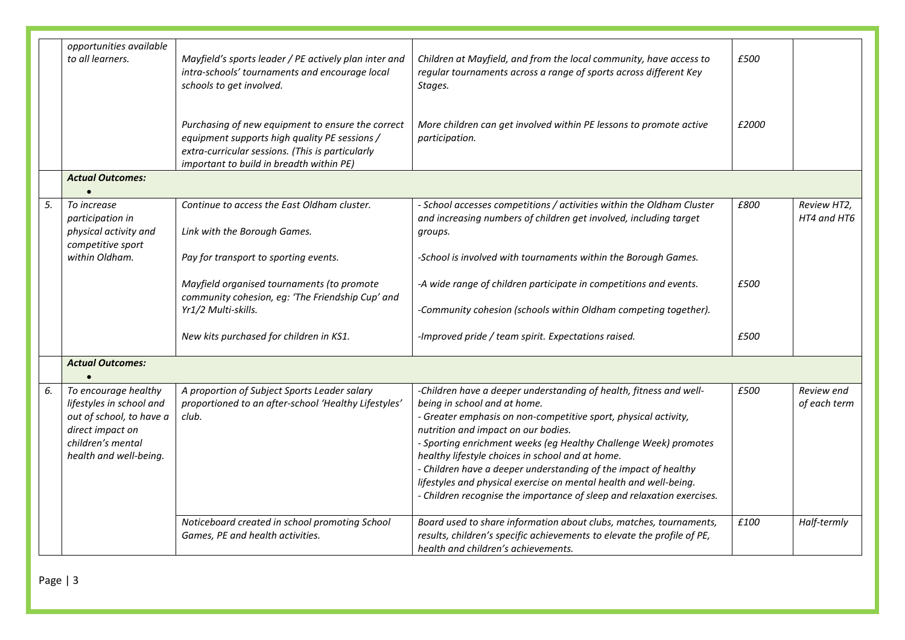|                         | opportunities available<br>to all learners.<br><b>Actual Outcomes:</b>                                                                          | Mayfield's sports leader / PE actively plan inter and<br>intra-schools' tournaments and encourage local<br>schools to get involved.<br>Purchasing of new equipment to ensure the correct<br>equipment supports high quality PE sessions /<br>extra-curricular sessions. (This is particularly<br>important to build in breadth within PE) | Children at Mayfield, and from the local community, have access to<br>regular tournaments across a range of sports across different Key<br>Stages.<br>More children can get involved within PE lessons to promote active<br>participation.                                                                                                                                                                                                                                                                                                             | £500<br>£2000 |                            |
|-------------------------|-------------------------------------------------------------------------------------------------------------------------------------------------|-------------------------------------------------------------------------------------------------------------------------------------------------------------------------------------------------------------------------------------------------------------------------------------------------------------------------------------------|--------------------------------------------------------------------------------------------------------------------------------------------------------------------------------------------------------------------------------------------------------------------------------------------------------------------------------------------------------------------------------------------------------------------------------------------------------------------------------------------------------------------------------------------------------|---------------|----------------------------|
|                         |                                                                                                                                                 |                                                                                                                                                                                                                                                                                                                                           |                                                                                                                                                                                                                                                                                                                                                                                                                                                                                                                                                        |               |                            |
| 5.                      | To increase<br>participation in<br>physical activity and<br>competitive sport                                                                   | Continue to access the East Oldham cluster.<br>Link with the Borough Games.                                                                                                                                                                                                                                                               | - School accesses competitions / activities within the Oldham Cluster<br>and increasing numbers of children get involved, including target<br>groups.                                                                                                                                                                                                                                                                                                                                                                                                  | £800          | Review HT2,<br>HT4 and HT6 |
|                         | within Oldham.                                                                                                                                  | Pay for transport to sporting events.                                                                                                                                                                                                                                                                                                     | -School is involved with tournaments within the Borough Games.                                                                                                                                                                                                                                                                                                                                                                                                                                                                                         |               |                            |
|                         |                                                                                                                                                 | Mayfield organised tournaments (to promote<br>community cohesion, eg: 'The Friendship Cup' and<br>Yr1/2 Multi-skills.                                                                                                                                                                                                                     | -A wide range of children participate in competitions and events.<br>-Community cohesion (schools within Oldham competing together).                                                                                                                                                                                                                                                                                                                                                                                                                   | £500          |                            |
|                         |                                                                                                                                                 | New kits purchased for children in KS1.                                                                                                                                                                                                                                                                                                   | -Improved pride / team spirit. Expectations raised.                                                                                                                                                                                                                                                                                                                                                                                                                                                                                                    | £500          |                            |
| <b>Actual Outcomes:</b> |                                                                                                                                                 |                                                                                                                                                                                                                                                                                                                                           |                                                                                                                                                                                                                                                                                                                                                                                                                                                                                                                                                        |               |                            |
| 6.                      | To encourage healthy<br>lifestyles in school and<br>out of school, to have a<br>direct impact on<br>children's mental<br>health and well-being. | A proportion of Subject Sports Leader salary<br>proportioned to an after-school 'Healthy Lifestyles'<br>club.                                                                                                                                                                                                                             | -Children have a deeper understanding of health, fitness and well-<br>being in school and at home.<br>- Greater emphasis on non-competitive sport, physical activity,<br>nutrition and impact on our bodies.<br>- Sporting enrichment weeks (eg Healthy Challenge Week) promotes<br>healthy lifestyle choices in school and at home.<br>- Children have a deeper understanding of the impact of healthy<br>lifestyles and physical exercise on mental health and well-being.<br>- Children recognise the importance of sleep and relaxation exercises. | £500          | Review end<br>of each term |
|                         |                                                                                                                                                 | Noticeboard created in school promoting School<br>Games, PE and health activities.                                                                                                                                                                                                                                                        | Board used to share information about clubs, matches, tournaments,<br>results, children's specific achievements to elevate the profile of PE,<br>health and children's achievements.                                                                                                                                                                                                                                                                                                                                                                   | £100          | Half-termly                |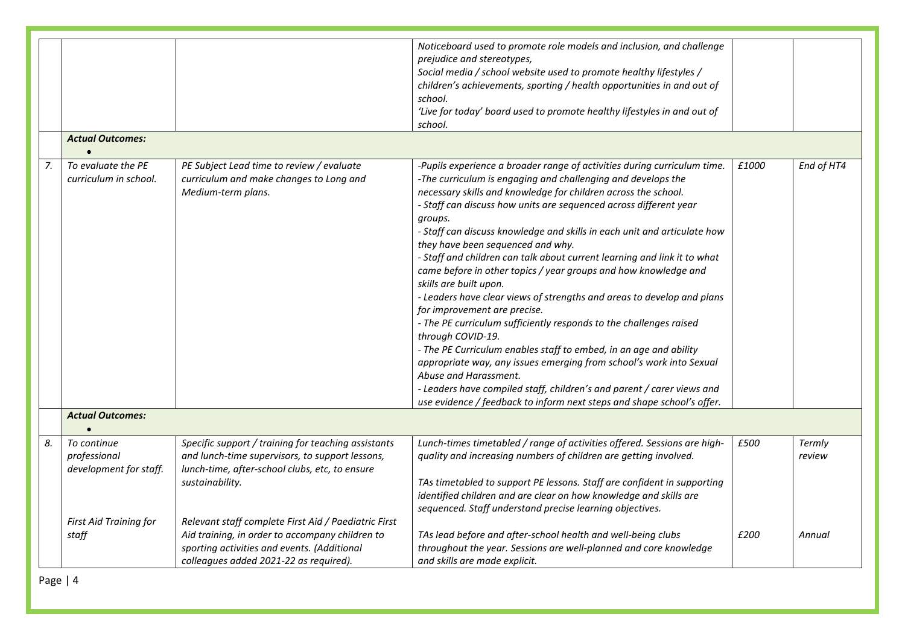|    | <b>Actual Outcomes:</b>                               |                                                                                                                                                                                                  | Noticeboard used to promote role models and inclusion, and challenge<br>prejudice and stereotypes,<br>Social media / school website used to promote healthy lifestyles /<br>children's achievements, sporting / health opportunities in and out of<br>school.<br>'Live for today' board used to promote healthy lifestyles in and out of<br>school.                                                                                                                                                                                                                                                                                                                                                                                                                                                                                                                                                                                                                                                                                                                                                                |       |                  |
|----|-------------------------------------------------------|--------------------------------------------------------------------------------------------------------------------------------------------------------------------------------------------------|--------------------------------------------------------------------------------------------------------------------------------------------------------------------------------------------------------------------------------------------------------------------------------------------------------------------------------------------------------------------------------------------------------------------------------------------------------------------------------------------------------------------------------------------------------------------------------------------------------------------------------------------------------------------------------------------------------------------------------------------------------------------------------------------------------------------------------------------------------------------------------------------------------------------------------------------------------------------------------------------------------------------------------------------------------------------------------------------------------------------|-------|------------------|
|    |                                                       |                                                                                                                                                                                                  |                                                                                                                                                                                                                                                                                                                                                                                                                                                                                                                                                                                                                                                                                                                                                                                                                                                                                                                                                                                                                                                                                                                    |       |                  |
| 7. | To evaluate the PE<br>curriculum in school.           | PE Subject Lead time to review / evaluate<br>curriculum and make changes to Long and<br>Medium-term plans.                                                                                       | -Pupils experience a broader range of activities during curriculum time.<br>-The curriculum is engaging and challenging and develops the<br>necessary skills and knowledge for children across the school.<br>- Staff can discuss how units are sequenced across different year<br>groups.<br>- Staff can discuss knowledge and skills in each unit and articulate how<br>they have been sequenced and why.<br>- Staff and children can talk about current learning and link it to what<br>came before in other topics / year groups and how knowledge and<br>skills are built upon.<br>- Leaders have clear views of strengths and areas to develop and plans<br>for improvement are precise.<br>- The PE curriculum sufficiently responds to the challenges raised<br>through COVID-19.<br>- The PE Curriculum enables staff to embed, in an age and ability<br>appropriate way, any issues emerging from school's work into Sexual<br>Abuse and Harassment.<br>- Leaders have compiled staff, children's and parent / carer views and<br>use evidence / feedback to inform next steps and shape school's offer. | £1000 | End of HT4       |
|    | <b>Actual Outcomes:</b>                               |                                                                                                                                                                                                  |                                                                                                                                                                                                                                                                                                                                                                                                                                                                                                                                                                                                                                                                                                                                                                                                                                                                                                                                                                                                                                                                                                                    |       |                  |
| 8. | To continue<br>professional<br>development for staff. | Specific support / training for teaching assistants<br>and lunch-time supervisors, to support lessons,<br>lunch-time, after-school clubs, etc, to ensure<br>sustainability.                      | Lunch-times timetabled / range of activities offered. Sessions are high-<br>quality and increasing numbers of children are getting involved.<br>TAs timetabled to support PE lessons. Staff are confident in supporting<br>identified children and are clear on how knowledge and skills are<br>sequenced. Staff understand precise learning objectives.                                                                                                                                                                                                                                                                                                                                                                                                                                                                                                                                                                                                                                                                                                                                                           | £500  | Termly<br>review |
|    | First Aid Training for<br>staff                       | Relevant staff complete First Aid / Paediatric First<br>Aid training, in order to accompany children to<br>sporting activities and events. (Additional<br>colleagues added 2021-22 as required). | TAs lead before and after-school health and well-being clubs<br>throughout the year. Sessions are well-planned and core knowledge<br>and skills are made explicit.                                                                                                                                                                                                                                                                                                                                                                                                                                                                                                                                                                                                                                                                                                                                                                                                                                                                                                                                                 | £200  | Annual           |

Page | 4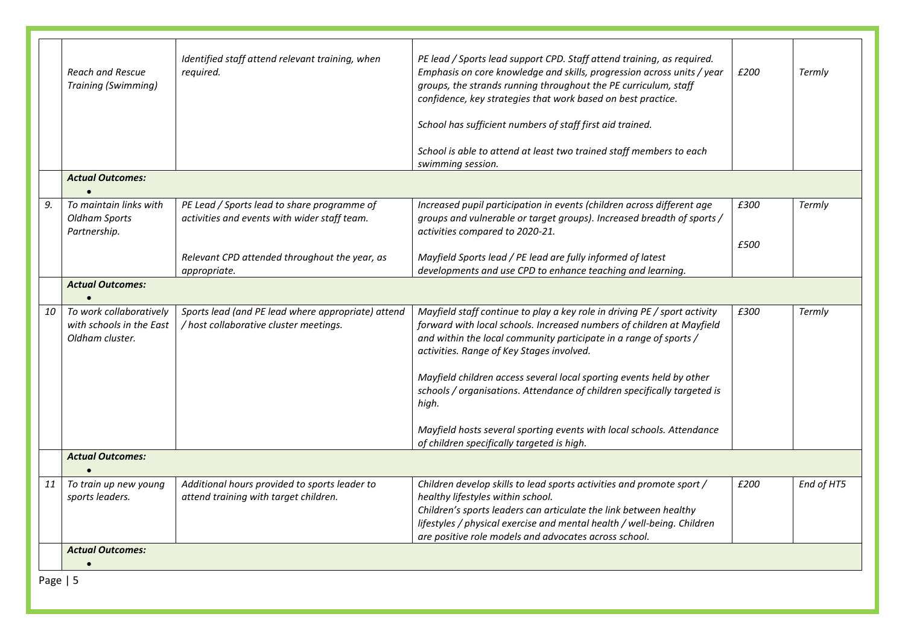|            | <b>Reach and Rescue</b><br><b>Training (Swimming)</b>                  | Identified staff attend relevant training, when<br>required.                                 | PE lead / Sports lead support CPD. Staff attend training, as required.<br>Emphasis on core knowledge and skills, progression across units / year<br>groups, the strands running throughout the PE curriculum, staff<br>confidence, key strategies that work based on best practice. | £200 | Termly     |
|------------|------------------------------------------------------------------------|----------------------------------------------------------------------------------------------|-------------------------------------------------------------------------------------------------------------------------------------------------------------------------------------------------------------------------------------------------------------------------------------|------|------------|
|            |                                                                        |                                                                                              | School has sufficient numbers of staff first aid trained.                                                                                                                                                                                                                           |      |            |
|            |                                                                        |                                                                                              | School is able to attend at least two trained staff members to each<br>swimming session.                                                                                                                                                                                            |      |            |
|            | <b>Actual Outcomes:</b>                                                |                                                                                              |                                                                                                                                                                                                                                                                                     |      |            |
| 9.         | To maintain links with<br><b>Oldham Sports</b><br>Partnership.         | PE Lead / Sports lead to share programme of<br>activities and events with wider staff team.  | Increased pupil participation in events (children across different age<br>groups and vulnerable or target groups). Increased breadth of sports /<br>activities compared to 2020-21.                                                                                                 | £300 | Termly     |
|            |                                                                        | Relevant CPD attended throughout the year, as<br>appropriate.                                | Mayfield Sports lead / PE lead are fully informed of latest<br>developments and use CPD to enhance teaching and learning.                                                                                                                                                           | £500 |            |
|            | <b>Actual Outcomes:</b>                                                |                                                                                              |                                                                                                                                                                                                                                                                                     |      |            |
|            |                                                                        |                                                                                              |                                                                                                                                                                                                                                                                                     |      |            |
| 10         | To work collaboratively<br>with schools in the East<br>Oldham cluster. | Sports lead (and PE lead where appropriate) attend<br>/ host collaborative cluster meetings. | Mayfield staff continue to play a key role in driving PE / sport activity<br>forward with local schools. Increased numbers of children at Mayfield<br>and within the local community participate in a range of sports /<br>activities. Range of Key Stages involved.                | £300 | Termly     |
|            |                                                                        |                                                                                              | Mayfield children access several local sporting events held by other<br>schools / organisations. Attendance of children specifically targeted is<br>high.                                                                                                                           |      |            |
|            |                                                                        |                                                                                              | Mayfield hosts several sporting events with local schools. Attendance<br>of children specifically targeted is high.                                                                                                                                                                 |      |            |
|            | <b>Actual Outcomes:</b>                                                |                                                                                              |                                                                                                                                                                                                                                                                                     |      |            |
| 11         | To train up new young                                                  | Additional hours provided to sports leader to                                                | Children develop skills to lead sports activities and promote sport /                                                                                                                                                                                                               | £200 | End of HT5 |
|            | sports leaders.                                                        | attend training with target children.                                                        | healthy lifestyles within school.<br>Children's sports leaders can articulate the link between healthy<br>lifestyles / physical exercise and mental health / well-being. Children                                                                                                   |      |            |
|            |                                                                        |                                                                                              | are positive role models and advocates across school.                                                                                                                                                                                                                               |      |            |
|            | <b>Actual Outcomes:</b>                                                |                                                                                              |                                                                                                                                                                                                                                                                                     |      |            |
| Page $  5$ |                                                                        |                                                                                              |                                                                                                                                                                                                                                                                                     |      |            |